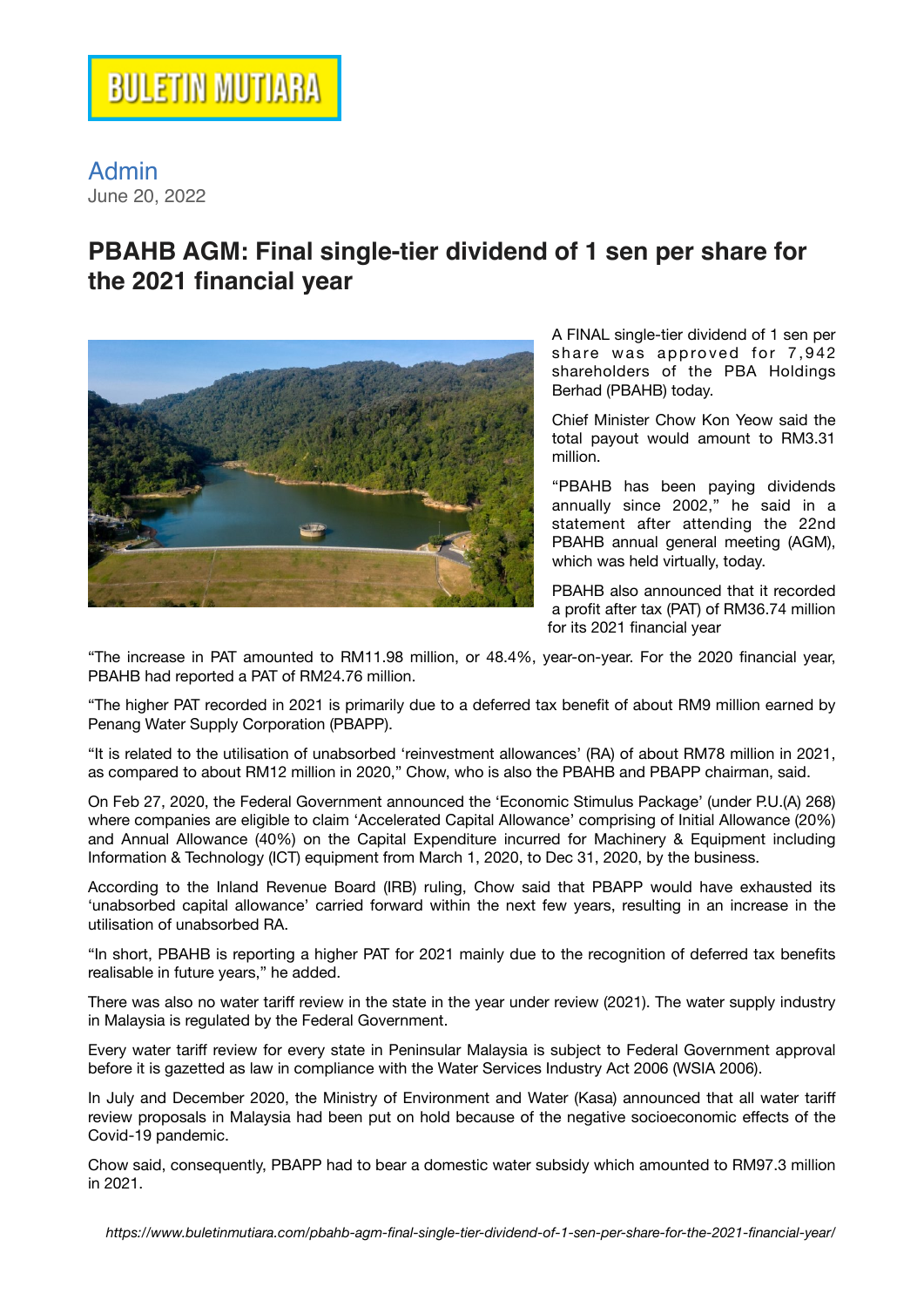## Admin June 20, 2022

## **PBAHB AGM: Final single-tier dividend of 1 sen per share for the 2021 financial year**



A FINAL single-tier dividend of 1 sen per share was approved for  $7,942$ shareholders of the PBA Holdings Berhad (PBAHB) today.

Chief Minister Chow Kon Yeow said the total payout would amount to RM3.31 million.

"PBAHB has been paying dividends annually since 2002," he said in a statement after attending the 22nd PBAHB annual general meeting (AGM), which was held virtually, today.

PBAHB also announced that it recorded a profit after tax (PAT) of RM36.74 million for its 2021 financial year

"The increase in PAT amounted to RM11.98 million, or 48.4%, year-on-year. For the 2020 financial year, PBAHB had reported a PAT of RM24.76 million.

"The higher PAT recorded in 2021 is primarily due to a deferred tax benefit of about RM9 million earned by Penang Water Supply Corporation (PBAPP).

"It is related to the utilisation of unabsorbed 'reinvestment allowances' (RA) of about RM78 million in 2021, as compared to about RM12 million in 2020," Chow, who is also the PBAHB and PBAPP chairman, said.

On Feb 27, 2020, the Federal Government announced the 'Economic Stimulus Package' (under P.U.(A) 268) where companies are eligible to claim 'Accelerated Capital Allowance' comprising of Initial Allowance (20%) and Annual Allowance (40%) on the Capital Expenditure incurred for Machinery & Equipment including Information & Technology (ICT) equipment from March 1, 2020, to Dec 31, 2020, by the business.

According to the Inland Revenue Board (IRB) ruling, Chow said that PBAPP would have exhausted its 'unabsorbed capital allowance' carried forward within the next few years, resulting in an increase in the utilisation of unabsorbed RA.

"In short, PBAHB is reporting a higher PAT for 2021 mainly due to the recognition of deferred tax benefits realisable in future years," he added.

There was also no water tariff review in the state in the year under review (2021). The water supply industry in Malaysia is regulated by the Federal Government.

Every water tariff review for every state in Peninsular Malaysia is subject to Federal Government approval before it is gazetted as law in compliance with the Water Services Industry Act 2006 (WSIA 2006).

In July and December 2020, the Ministry of Environment and Water (Kasa) announced that all water tariff review proposals in Malaysia had been put on hold because of the negative socioeconomic effects of the Covid-19 pandemic.

Chow said, consequently, PBAPP had to bear a domestic water subsidy which amounted to RM97.3 million in 2021.